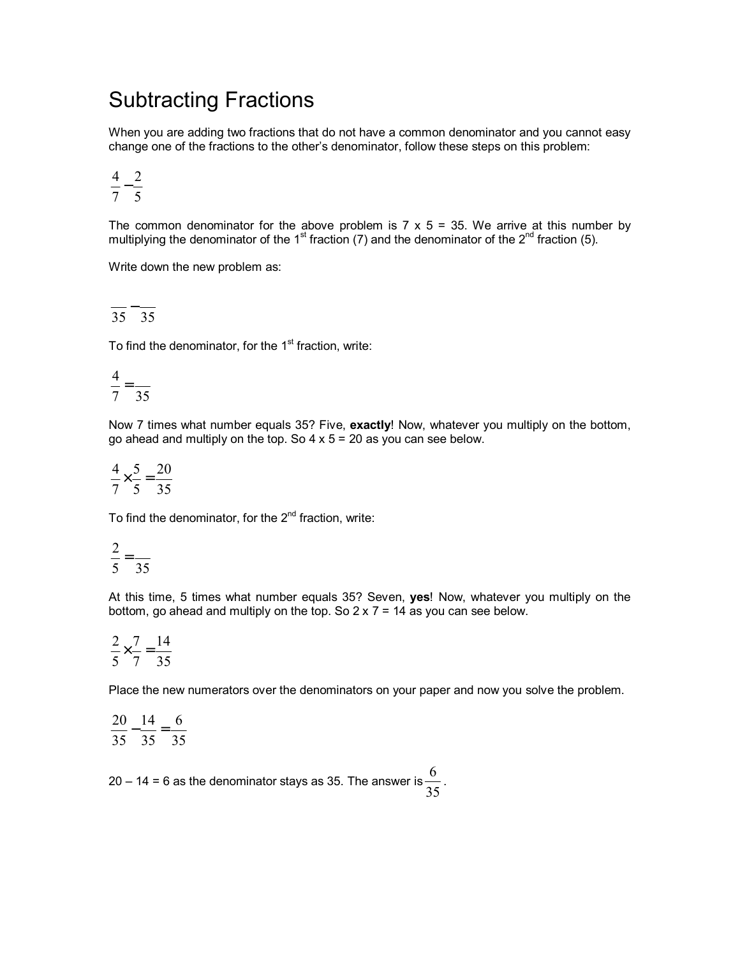## Subtracting Fractions

When you are adding two fractions that do not have a common denominator and you cannot easy change one of the fractions to the otherís denominator, follow these steps on this problem:

$$
\frac{4}{7} - \frac{2}{5}
$$

The common denominator for the above problem is  $7 \times 5 = 35$ . We arrive at this number by multiplying the denominator of the 1<sup>st</sup> fraction (7) and the denominator of the 2<sup>nd</sup> fraction (5).

Write down the new problem as:

$$
\frac{}{35} - \frac{}{35}
$$

To find the denominator, for the  $1<sup>st</sup>$  fraction, write:

$$
\frac{4}{7} = \frac{1}{35}
$$

Now 7 times what number equals 35? Five, **exactly**! Now, whatever you multiply on the bottom, go ahead and multiply on the top. So  $4 \times 5 = 20$  as you can see below.

$$
\frac{4}{7} \times \frac{5}{5} = \frac{20}{35}
$$

To find the denominator, for the  $2^{nd}$  fraction, write:

$$
\frac{2}{5} = \frac{1}{35}
$$

At this time, 5 times what number equals 35? Seven, **yes**! Now, whatever you multiply on the bottom, go ahead and multiply on the top. So  $2 \times 7 = 14$  as you can see below.

$$
\frac{2}{5} \times \frac{7}{7} = \frac{14}{35}
$$

Place the new numerators over the denominators on your paper and now you solve the problem.

$$
\frac{20}{35} - \frac{14}{35} = \frac{6}{35}
$$

20 – 14 = 6 as the denominator stays as 35. The answer is  $\frac{35}{35}$  $\frac{6}{2}$ .